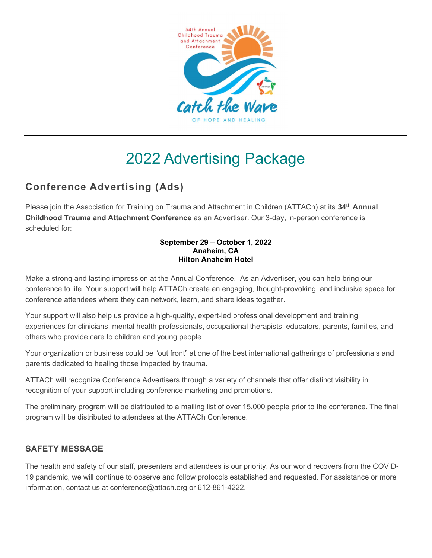

# 2022 Advertising Package

# Conference Advertising (Ads)

Please join the Association for Training on Trauma and Attachment in Children (ATTACh) at its 34<sup>th</sup> Annual Childhood Trauma and Attachment Conference as an Advertiser. Our 3-day, in-person conference is scheduled for:

#### September 29 – October 1, 2022 Anaheim, CA Hilton Anaheim Hotel

Make a strong and lasting impression at the Annual Conference. As an Advertiser, you can help bring our conference to life. Your support will help ATTACh create an engaging, thought-provoking, and inclusive space for conference attendees where they can network, learn, and share ideas together.

Your support will also help us provide a high-quality, expert-led professional development and training experiences for clinicians, mental health professionals, occupational therapists, educators, parents, families, and others who provide care to children and young people.

Your organization or business could be "out front" at one of the best international gatherings of professionals and parents dedicated to healing those impacted by trauma.

ATTACh will recognize Conference Advertisers through a variety of channels that offer distinct visibility in recognition of your support including conference marketing and promotions.

The preliminary program will be distributed to a mailing list of over 15,000 people prior to the conference. The final program will be distributed to attendees at the ATTACh Conference.

#### SAFETY MESSAGE

The health and safety of our staff, presenters and attendees is our priority. As our world recovers from the COVID-19 pandemic, we will continue to observe and follow protocols established and requested. For assistance or more information, contact us at conference@attach.org or 612-861-4222.